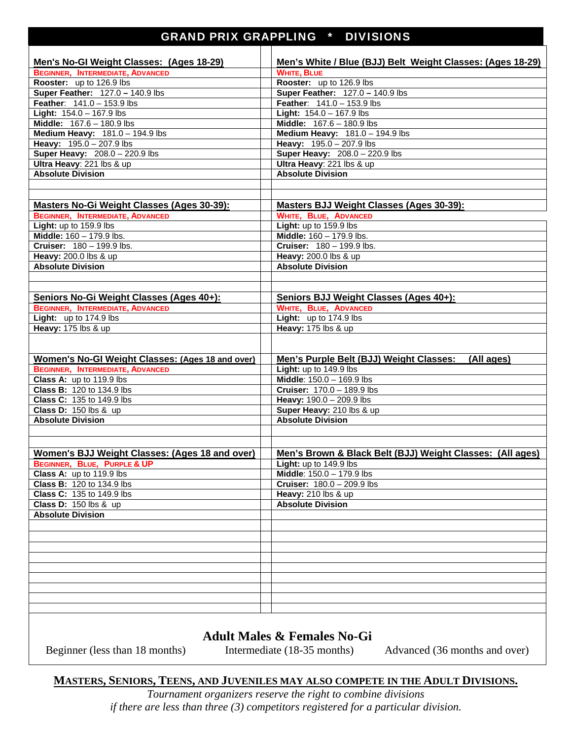## GRAND PRIX GRAPPLING \* DIVISIONS

| Men's No-GI Weight Classes: (Ages 18-29)         | Men's White / Blue (BJJ) Belt Weight Classes: (Ages 18-29) |
|--------------------------------------------------|------------------------------------------------------------|
| <b>BEGINNER, INTERMEDIATE, ADVANCED</b>          | <b>WHITE, BLUE</b>                                         |
| Rooster: up to 126.9 lbs                         | Rooster: up to 126.9 lbs                                   |
| Super Feather: 127.0 - 140.9 lbs                 | Super Feather: 127.0 - 140.9 lbs                           |
| Feather: 141.0 - 153.9 lbs                       | <b>Feather:</b> $141.0 - 153.9$ lbs                        |
| <b>Light:</b> $154.0 - 167.9$ lbs                | <b>Light:</b> $154.0 - 167.9$ lbs                          |
| Middle: 167.6 - 180.9 lbs                        | Middle: 167.6 - 180.9 lbs                                  |
| Medium Heavy: 181.0 - 194.9 lbs                  | Medium Heavy: 181.0 - 194.9 lbs                            |
| Heavy: 195.0 - 207.9 lbs                         | Heavy: 195.0 - 207.9 lbs                                   |
| Super Heavy: 208.0 - 220.9 lbs                   | Super Heavy: 208.0 - 220.9 lbs                             |
| Ultra Heavy: 221 lbs & up                        | Ultra Heavy: 221 lbs & up                                  |
| <b>Absolute Division</b>                         | <b>Absolute Division</b>                                   |
|                                                  |                                                            |
|                                                  |                                                            |
| Masters No-Gi Weight Classes (Ages 30-39):       | <b>Masters BJJ Weight Classes (Ages 30-39):</b>            |
| <b>BEGINNER, INTERMEDIATE, ADVANCED</b>          | <b>WHITE, BLUE, ADVANCED</b>                               |
| Light: up to 159.9 lbs                           | Light: up to 159.9 lbs                                     |
| Middle: $160 - 179.9$ lbs.                       | Middle: 160 - 179.9 lbs.                                   |
| Cruiser: 180 - 199.9 lbs.                        | <b>Cruiser:</b> $180 - 199.9$ lbs.                         |
| Heavy: 200.0 lbs & up                            | Heavy: 200.0 lbs & up                                      |
| <b>Absolute Division</b>                         | <b>Absolute Division</b>                                   |
|                                                  |                                                            |
|                                                  |                                                            |
| Seniors No-Gi Weight Classes (Ages 40+):         | Seniors BJJ Weight Classes (Ages 40+):                     |
| <b>BEGINNER, INTERMEDIATE, ADVANCED</b>          | <b>WHITE, BLUE, ADVANCED</b>                               |
| <b>Light:</b> up to $174.9$ lbs                  | Light: up to 174.9 lbs                                     |
| Heavy: 175 lbs & up                              | Heavy: 175 lbs & up                                        |
|                                                  |                                                            |
|                                                  |                                                            |
| Women's No-GI Weight Classes: (Ages 18 and over) | Men's Purple Belt (BJJ) Weight Classes:<br>(All ages)      |
| <b>BEGINNER, INTERMEDIATE, ADVANCED</b>          | Light: up to 149.9 lbs                                     |
| Class A: up to 119.9 lbs                         | Middle: 150.0 - 169.9 lbs                                  |
| Class B: 120 to 134.9 lbs                        | <b>Cruiser: 170.0 - 189.9 lbs</b>                          |
| <b>Class C: 135 to 149.9 lbs</b>                 | Heavy: 190.0 - 209.9 lbs                                   |
| <b>Class D: 150 lbs &amp; up</b>                 | Super Heavy: 210 lbs & up                                  |
| <b>Absolute Division</b>                         | <b>Absolute Division</b>                                   |
|                                                  |                                                            |
|                                                  |                                                            |
| Women's BJJ Weight Classes: (Ages 18 and over)   | Men's Brown & Black Belt (BJJ) Weight Classes: (All ages)  |
| <b>BEGINNER, BLUE, PURPLE &amp; UP</b>           | Light: up to 149.9 lbs                                     |
| Class A: up to 119.9 lbs                         | Middle: 150.0 - 179.9 lbs                                  |
| Class B: 120 to 134.9 lbs                        | <b>Cruiser:</b> $180.0 - 209.9$ lbs                        |
| <b>Class C: 135 to 149.9 lbs</b>                 | Heavy: 210 lbs & up                                        |
| <b>Class D: 150 lbs &amp; up</b>                 | <b>Absolute Division</b>                                   |
| <b>Absolute Division</b>                         |                                                            |
|                                                  |                                                            |
|                                                  |                                                            |
|                                                  |                                                            |
|                                                  |                                                            |
|                                                  |                                                            |
|                                                  |                                                            |
|                                                  |                                                            |
|                                                  |                                                            |
|                                                  |                                                            |
|                                                  |                                                            |
|                                                  |                                                            |

## **Adult Males & Females No-Gi**

Beginner (less than 18 months) Intermediate (18-35 months) Advanced (36 months and over)

## **MASTERS, SENIORS, TEENS, AND JUVENILES MAY ALSO COMPETE IN THE ADULT DIVISIONS.**

*Tournament organizers reserve the right to combine divisions if there are less than three (3) competitors registered for a particular division.*